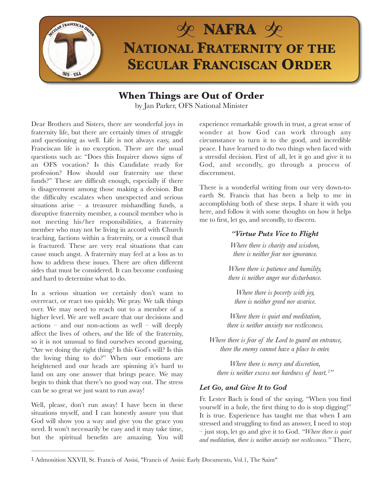

## **When Things are Out of Order**

by Jan Parker, OFS National Minister

Dear Brothers and Sisters, there are wonderful joys in fraternity life, but there are certainly times of struggle and questioning as well. Life is not always easy, and Franciscan life is no exception. There are the usual questions such as: "Does this Inquirer shows signs of an OFS vocation? Is this Candidate ready for profession? How should our fraternity use these funds?" These are difficult enough, especially if there is disagreement among those making a decision. But the difficulty escalates when unexpected and serious situations arise – a treasurer mishandling funds, a disruptive fraternity member, a council member who is not meeting his/her responsibilities, a fraternity member who may not be living in accord with Church teaching, factions within a fraternity, or a council that is fractured. These are very real situations that can cause much angst. A fraternity may feel at a loss as to how to address these issues. There are often different sides that must be considered. It can become confusing and hard to determine what to do.

In a serious situation we certainly don't want to overreact, or react too quickly. We pray. We talk things over. We may need to reach out to a member of a higher level. We are well aware that our decisions and  $actions - and our non-actions as well - will deeply$ affect the lives of others, *and* the life of the fraternity, so it is not unusual to find ourselves second guessing, "Are we doing the right thing? Is this God's will? Is this the loving thing to do?" When our emotions are heightened and our heads are spinning it's hard to land on any one answer that brings peace. We may begin to think that there's no good way out. The stress can be so great we just want to run away!

Well, please, don't run away! I have been in these situations myself, and I can honestly assure you that God will show you a way and give you the grace you need. It won't necessarily be easy and it may take time, but the spiritual benefits are amazing. You will experience remarkable growth in trust, a great sense of wonder at how God can work through any circumstance to turn it to the good, and incredible peace. I have learned to do two things when faced with a stressful decision. First of all, let it go and give it to God, and secondly, go through a process of discernment.

There is a wonderful writing from our very down-toearth St. Francis that has been a help to me in accomplishing both of these steps. I share it with you here, and follow it with some thoughts on how it helps me to first, let go, and secondly, to discern.

## *"Virtue Puts Vice to Flight*

*Where there is charity and wisdom, there is neither fear nor ignorance.* 

*Where there is patience and humility, there is neither anger nor disturbance.* 

*Where there is poverty with joy, there is neither greed nor avarice.* 

*Where there is quiet and meditation, there is neither anxiety nor restlessness.* 

*Where there is fear of the Lord to guard an entrance, there the enemy cannot have a place to enter.* 

<span id="page-0-1"></span>*Where there is mercy and discretion, there is neither excess nor hardness of heart. ["](#page-0-0) [1](#page-0-0)*

## *Let Go, and Give It to God*

Fr. Lester Bach is fond of the saying, "When you find yourself in a hole, the first thing to do is stop digging!" It is true. Experience has taught me that when I am stressed and struggling to find an answer, I need to stop – just stop, let go and give it to God. *"Where there is quiet and meditation, there is neither anxiety nor restlessness."* There,

<span id="page-0-0"></span>[<sup>1</sup>](#page-0-1) Admonition XXVII, St. Francis of Assisi, "Francis of Assisi: Early Documents, Vol.1, The Saint"